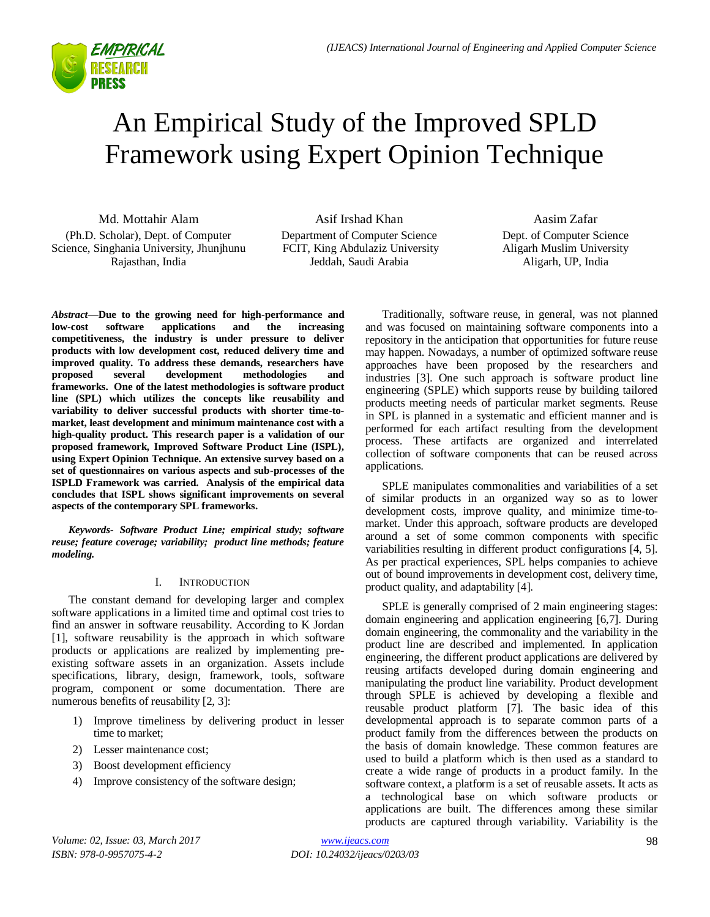

# An Empirical Study of the Improved SPLD Framework using Expert Opinion Technique

Md. Mottahir Alam (Ph.D. Scholar), Dept. of Computer Science, Singhania University, Jhunjhunu Rajasthan, India

Asif Irshad Khan Department of Computer Science FCIT, King Abdulaziz University Jeddah, Saudi Arabia

Aasim Zafar Dept. of Computer Science Aligarh Muslim University Aligarh, UP, India

*Abstract***—Due to the growing need for high-performance and low-cost software applications and the increasing competitiveness, the industry is under pressure to deliver products with low development cost, reduced delivery time and improved quality. To address these demands, researchers have proposed several development methodologies and frameworks. One of the latest methodologies is software product line (SPL) which utilizes the concepts like reusability and variability to deliver successful products with shorter time-tomarket, least development and minimum maintenance cost with a high-quality product. This research paper is a validation of our proposed framework, Improved Software Product Line (ISPL), using Expert Opinion Technique. An extensive survey based on a set of questionnaires on various aspects and sub-processes of the ISPLD Framework was carried. Analysis of the empirical data concludes that ISPL shows significant improvements on several aspects of the contemporary SPL frameworks.**

*Keywords- Software Product Line; empirical study; software reuse; feature coverage; variability; product line methods; feature modeling.*

# I. INTRODUCTION

The constant demand for developing larger and complex software applications in a limited time and optimal cost tries to find an answer in software reusability. According to K Jordan [1], software reusability is the approach in which software products or applications are realized by implementing preexisting software assets in an organization. Assets include specifications, library, design, framework, tools, software program, component or some documentation. There are numerous benefits of reusability [2, 3]:

- 1) Improve timeliness by delivering product in lesser time to market;
- 2) Lesser maintenance cost;
- 3) Boost development efficiency
- 4) Improve consistency of the software design;

Traditionally, software reuse, in general, was not planned and was focused on maintaining software components into a repository in the anticipation that opportunities for future reuse may happen. Nowadays, a number of optimized software reuse approaches have been proposed by the researchers and industries [3]. One such approach is software product line engineering (SPLE) which supports reuse by building tailored products meeting needs of particular market segments. Reuse in SPL is planned in a systematic and efficient manner and is performed for each artifact resulting from the development process. These artifacts are organized and interrelated collection of software components that can be reused across applications.

SPLE manipulates commonalities and variabilities of a set of similar products in an organized way so as to lower development costs, improve quality, and minimize time-tomarket. Under this approach, software products are developed around a set of some common components with specific variabilities resulting in different product configurations [4, 5]. As per practical experiences, SPL helps companies to achieve out of bound improvements in development cost, delivery time, product quality, and adaptability [4].

SPLE is generally comprised of 2 main engineering stages: domain engineering and application engineering [6,7]. During domain engineering, the commonality and the variability in the product line are described and implemented. In application engineering, the different product applications are delivered by reusing artifacts developed during domain engineering and manipulating the product line variability. Product development through SPLE is achieved by developing a flexible and reusable product platform [7]. The basic idea of this developmental approach is to separate common parts of a product family from the differences between the products on the basis of domain knowledge. These common features are used to build a platform which is then used as a standard to create a wide range of products in a product family. In the software context, a platform is a set of reusable assets. It acts as a technological base on which software products or applications are built. The differences among these similar products are captured through variability. Variability is the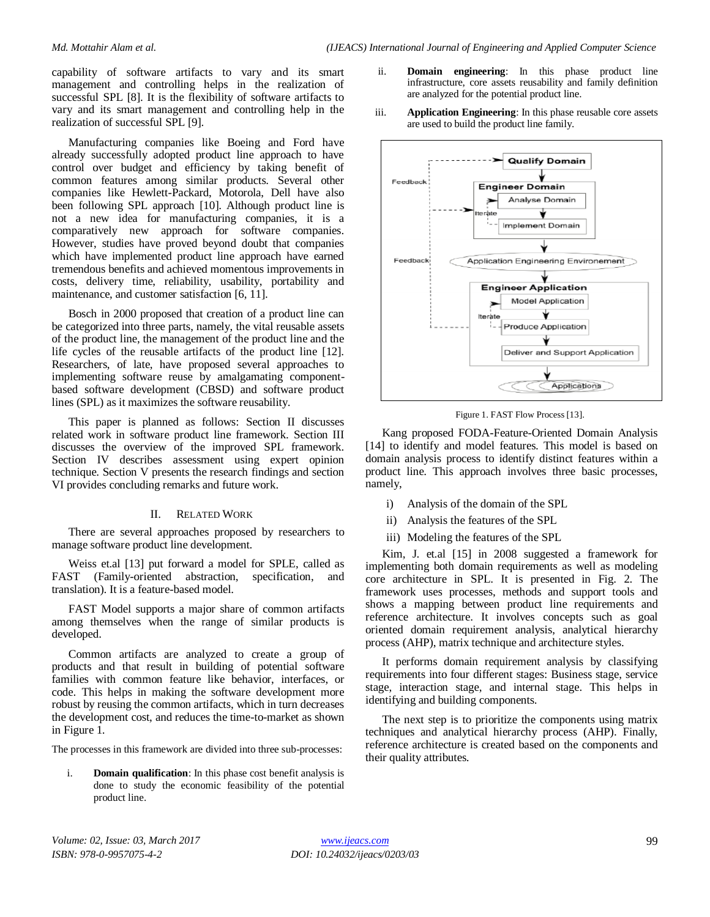capability of software artifacts to vary and its smart management and controlling helps in the realization of successful SPL [8]. It is the flexibility of software artifacts to vary and its smart management and controlling help in the realization of successful SPL [9].

Manufacturing companies like Boeing and Ford have already successfully adopted product line approach to have control over budget and efficiency by taking benefit of common features among similar products. Several other companies like Hewlett-Packard, Motorola, Dell have also been following SPL approach [10]. Although product line is not a new idea for manufacturing companies, it is a comparatively new approach for software companies. However, studies have proved beyond doubt that companies which have implemented product line approach have earned tremendous benefits and achieved momentous improvements in costs, delivery time, reliability, usability, portability and maintenance, and customer satisfaction [6, 11].

Bosch in 2000 proposed that creation of a product line can be categorized into three parts, namely, the vital reusable assets of the product line, the management of the product line and the life cycles of the reusable artifacts of the product line [12]. Researchers, of late, have proposed several approaches to implementing software reuse by amalgamating componentbased software development (CBSD) and software product lines (SPL) as it maximizes the software reusability.

This paper is planned as follows: Section II discusses related work in software product line framework. Section III discusses the overview of the improved SPL framework. Section IV describes assessment using expert opinion technique. Section V presents the research findings and section VI provides concluding remarks and future work.

#### II. RELATED WORK

There are several approaches proposed by researchers to manage software product line development.

Weiss et.al [13] put forward a model for SPLE, called as FAST (Family-oriented abstraction, specification, and translation). It is a feature-based model.

FAST Model supports a major share of common artifacts among themselves when the range of similar products is developed.

Common artifacts are analyzed to create a group of products and that result in building of potential software families with common feature like behavior, interfaces, or code. This helps in making the software development more robust by reusing the common artifacts, which in turn decreases the development cost, and reduces the time-to-market as shown in Figure 1.

The processes in this framework are divided into three sub-processes:

i. **Domain qualification**: In this phase cost benefit analysis is done to study the economic feasibility of the potential product line.

- ii. **Domain engineering**: In this phase product line infrastructure, core assets reusability and family definition are analyzed for the potential product line.
- iii. **Application Engineering**: In this phase reusable core assets are used to build the product line family.



Figure 1. FAST Flow Process [13].

Kang proposed FODA-Feature-Oriented Domain Analysis [14] to identify and model features. This model is based on domain analysis process to identify distinct features within a product line. This approach involves three basic processes, namely,

- i) Analysis of the domain of the SPL
- ii) Analysis the features of the SPL
- iii) Modeling the features of the SPL

Kim, J. et.al [15] in 2008 suggested a framework for implementing both domain requirements as well as modeling core architecture in SPL. It is presented in Fig. 2. The framework uses processes, methods and support tools and shows a mapping between product line requirements and reference architecture. It involves concepts such as goal oriented domain requirement analysis, analytical hierarchy process (AHP), matrix technique and architecture styles.

It performs domain requirement analysis by classifying requirements into four different stages: Business stage, service stage, interaction stage, and internal stage. This helps in identifying and building components.

The next step is to prioritize the components using matrix techniques and analytical hierarchy process (AHP). Finally, reference architecture is created based on the components and their quality attributes.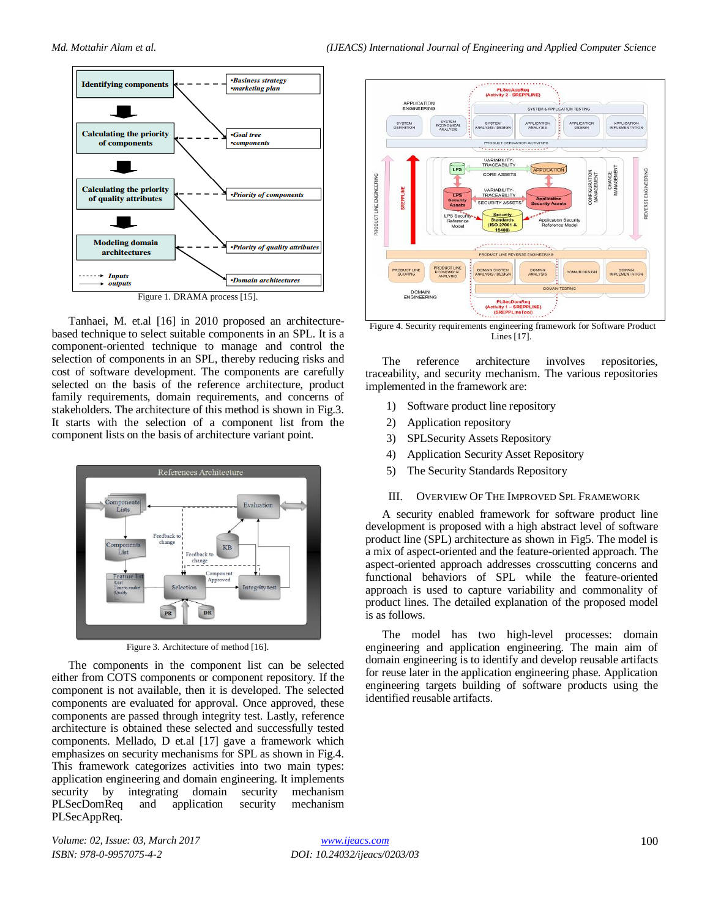

Tanhaei, M. et.al [16] in 2010 proposed an architecturebased technique to select suitable components in an SPL. It is a component-oriented technique to manage and control the selection of components in an SPL, thereby reducing risks and cost of software development. The components are carefully selected on the basis of the reference architecture, product family requirements, domain requirements, and concerns of stakeholders. The architecture of this method is shown in Fig.3. It starts with the selection of a component list from the component lists on the basis of architecture variant point.



Figure 3. Architecture of method [16].

The components in the component list can be selected either from COTS components or component repository. If the component is not available, then it is developed. The selected components are evaluated for approval. Once approved, these components are passed through integrity test. Lastly, reference architecture is obtained these selected and successfully tested components. Mellado, D et.al [17] gave a framework which emphasizes on security mechanisms for SPL as shown in Fig.4. This framework categorizes activities into two main types: application engineering and domain engineering. It implements security by integrating domain security mechanism PLSecDomReq and application security mechanism PLSecAppReq.



Figure 4. Security requirements engineering framework for Software Product Lines [17].

The reference architecture involves repositories, traceability, and security mechanism. The various repositories implemented in the framework are:

- 1) Software product line repository
- 2) Application repository
- 3) SPLSecurity Assets Repository
- 4) Application Security Asset Repository
- 5) The Security Standards Repository

#### III. OVERVIEW OF THE IMPROVED SPL FRAMEWORK

A security enabled framework for software product line development is proposed with a high abstract level of software product line (SPL) architecture as shown in Fig5. The model is a mix of aspect-oriented and the feature-oriented approach. The aspect-oriented approach addresses crosscutting concerns and functional behaviors of SPL while the feature-oriented approach is used to capture variability and commonality of product lines. The detailed explanation of the proposed model is as follows.

The model has two high-level processes: domain engineering and application engineering. The main aim of domain engineering is to identify and develop reusable artifacts for reuse later in the application engineering phase. Application engineering targets building of software products using the identified reusable artifacts.

*Volume: 02, Issue: 03, March 2017 ISBN: 978-0-9957075-4-2*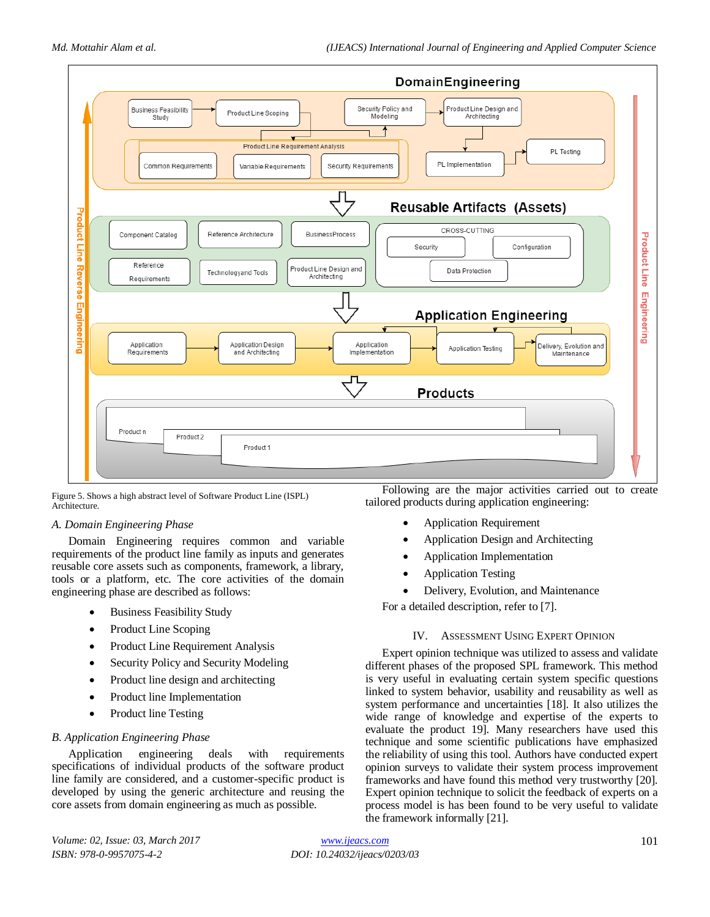

Figure 5. Shows a high abstract level of Software Product Line (ISPL) Architecture.

## *A. Domain Engineering Phase*

Domain Engineering requires common and variable requirements of the product line family as inputs and generates reusable core assets such as components, framework, a library, tools or a platform, etc. The core activities of the domain engineering phase are described as follows:

- Business Feasibility Study
- Product Line Scoping
- Product Line Requirement Analysis
- Security Policy and Security Modeling
- Product line design and architecting
- Product line Implementation
- Product line Testing

#### *B. Application Engineering Phase*

Application engineering deals with requirements specifications of individual products of the software product line family are considered, and a customer-specific product is developed by using the generic architecture and reusing the core assets from domain engineering as much as possible.

Following are the major activities carried out to create tailored products during application engineering:

- Application Requirement
- Application Design and Architecting
- Application Implementation
- Application Testing
- Delivery, Evolution, and Maintenance

For a detailed description, refer to [7].

## IV. ASSESSMENT USING EXPERT OPINION

Expert opinion technique was utilized to assess and validate different phases of the proposed SPL framework. This method is very useful in evaluating certain system specific questions linked to system behavior, usability and reusability as well as system performance and uncertainties [18]. It also utilizes the wide range of knowledge and expertise of the experts to evaluate the product 19]. Many researchers have used this technique and some scientific publications have emphasized the reliability of using this tool. Authors have conducted expert opinion surveys to validate their system process improvement frameworks and have found this method very trustworthy [20]. Expert opinion technique to solicit the feedback of experts on a process model is has been found to be very useful to validate the framework informally [21].

*Volume: 02, Issue: 03, March 2017 ISBN: 978-0-9957075-4-2*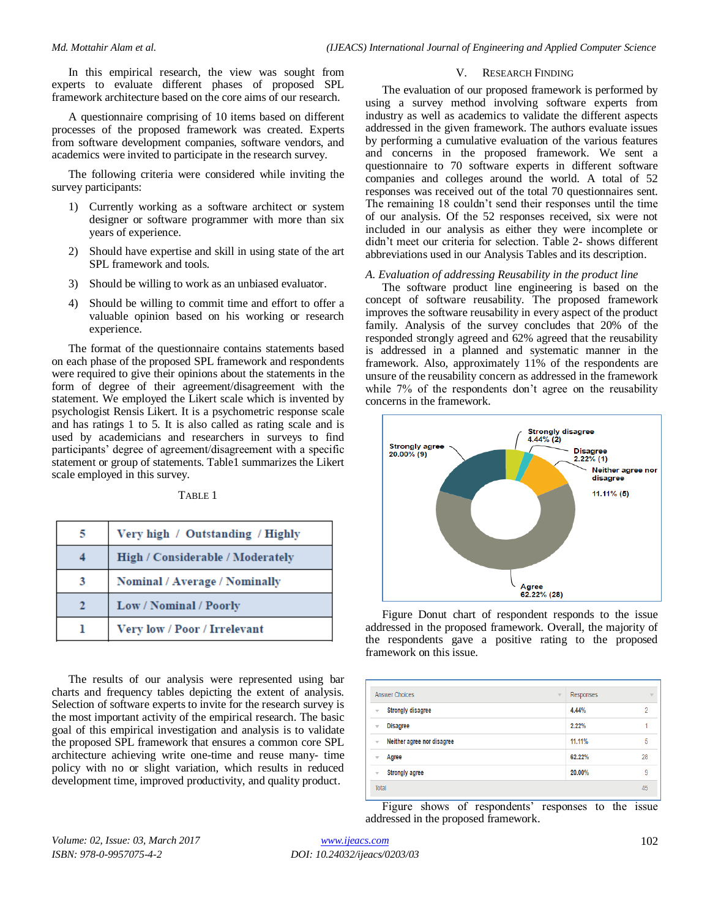In this empirical research, the view was sought from experts to evaluate different phases of proposed SPL framework architecture based on the core aims of our research.

A questionnaire comprising of 10 items based on different processes of the proposed framework was created. Experts from software development companies, software vendors, and academics were invited to participate in the research survey.

The following criteria were considered while inviting the survey participants:

- 1) Currently working as a software architect or system designer or software programmer with more than six years of experience.
- 2) Should have expertise and skill in using state of the art SPL framework and tools.
- 3) Should be willing to work as an unbiased evaluator.
- 4) Should be willing to commit time and effort to offer a valuable opinion based on his working or research experience.

The format of the questionnaire contains statements based on each phase of the proposed SPL framework and respondents were required to give their opinions about the statements in the form of degree of their agreement/disagreement with the statement. We employed the Likert scale which is invented by psychologist Rensis Likert. It is a psychometric response scale and has ratings 1 to 5. It is also called as rating scale and is used by academicians and researchers in surveys to find participants' degree of agreement/disagreement with a specific statement or group of statements. Table1 summarizes the Likert scale employed in this survey.

|--|--|

| Very high / Outstanding / Highly        |  |
|-----------------------------------------|--|
| <b>High / Considerable / Moderately</b> |  |
| Nominal / Average / Nominally           |  |
| Low / Nominal / Poorly                  |  |
| Very low / Poor / Irrelevant            |  |

The results of our analysis were represented using bar charts and frequency tables depicting the extent of analysis. Selection of software experts to invite for the research survey is the most important activity of the empirical research. The basic goal of this empirical investigation and analysis is to validate the proposed SPL framework that ensures a common core SPL architecture achieving write one-time and reuse many- time policy with no or slight variation, which results in reduced development time, improved productivity, and quality product.

#### V. RESEARCH FINDING

The evaluation of our proposed framework is performed by using a survey method involving software experts from industry as well as academics to validate the different aspects addressed in the given framework. The authors evaluate issues by performing a cumulative evaluation of the various features and concerns in the proposed framework. We sent a questionnaire to 70 software experts in different software companies and colleges around the world. A total of 52 responses was received out of the total 70 questionnaires sent. The remaining 18 couldn't send their responses until the time of our analysis. Of the 52 responses received, six were not included in our analysis as either they were incomplete or didn't meet our criteria for selection. Table 2- shows different abbreviations used in our Analysis Tables and its description.

#### *A. Evaluation of addressing Reusability in the product line*

The software product line engineering is based on the concept of software reusability. The proposed framework improves the software reusability in every aspect of the product family. Analysis of the survey concludes that 20% of the responded strongly agreed and 62% agreed that the reusability is addressed in a planned and systematic manner in the framework. Also, approximately 11% of the respondents are unsure of the reusability concern as addressed in the framework while 7% of the respondents don't agree on the reusability concerns in the framework.



Figure Donut chart of respondent responds to the issue addressed in the proposed framework. Overall, the majority of the respondents gave a positive rating to the proposed framework on this issue.

|                         | <b>Answer Choices</b><br>$\overline{\mathbf{v}}$ | <b>Responses</b> | v  |
|-------------------------|--------------------------------------------------|------------------|----|
| v                       | <b>Strongly disagree</b>                         | 4.44%            | o  |
| $\overline{\mathbf{v}}$ | <b>Disagree</b>                                  | 2.22%            |    |
| $\overline{\mathbf{v}}$ | Neither agree nor disagree                       | 11.11%           | 5  |
| v                       | Agree                                            | 62.22%           | 28 |
| $\overline{\mathbf{v}}$ | <b>Strongly agree</b>                            | 20.00%           | 9  |
| Total                   |                                                  |                  | 45 |

Figure shows of respondents' responses to the issue addressed in the proposed framework.

*Volume: 02, Issue: 03, March 2017 ISBN: 978-0-9957075-4-2*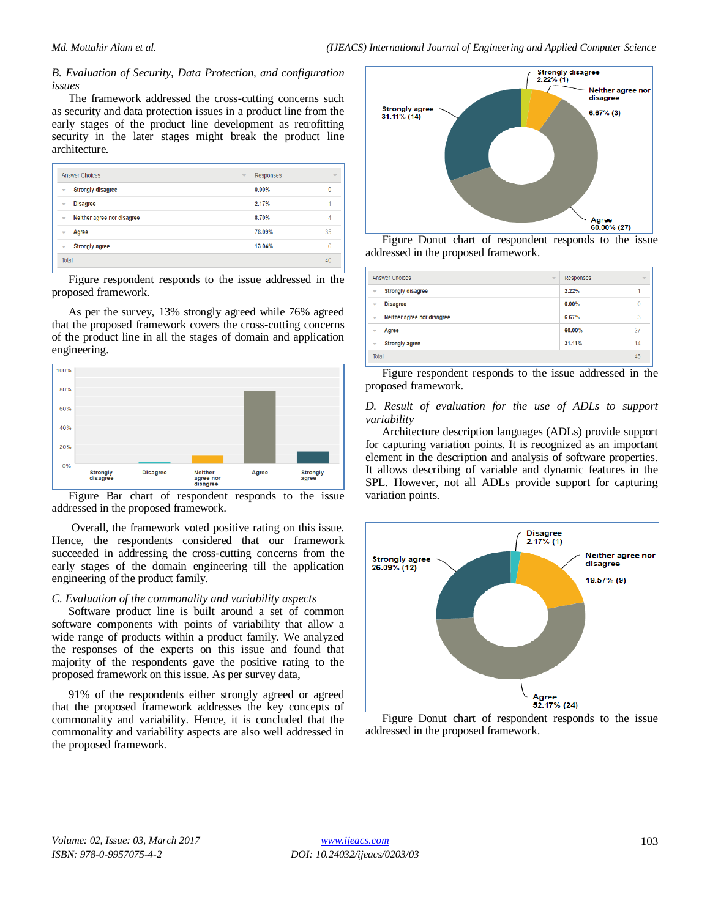## *B. Evaluation of Security, Data Protection, and configuration issues*

The framework addressed the cross-cutting concerns such as security and data protection issues in a product line from the early stages of the product line development as retrofitting security in the later stages might break the product line architecture.

| Answer Choices                                        | Responses<br>$\overline{\mathbf{v}}$ | $\overline{\mathbf{v}}$ |
|-------------------------------------------------------|--------------------------------------|-------------------------|
| <b>Strongly disagree</b><br>Ψ                         | 0.00%                                | 0                       |
| <b>Disagree</b><br>v                                  | 2.17%                                |                         |
| Neither agree nor disagree<br>$\overline{\mathbf{v}}$ | 8.70%                                | 4                       |
| Agree<br>v                                            | 76.09%                               | 35                      |
| <b>Strongly agree</b><br>Ψ                            | 13.04%                               | 6                       |
| Total                                                 |                                      | 46                      |

Figure respondent responds to the issue addressed in the proposed framework.

As per the survey, 13% strongly agreed while 76% agreed that the proposed framework covers the cross-cutting concerns of the product line in all the stages of domain and application engineering.



Figure Bar chart of respondent responds to the issue addressed in the proposed framework.

Overall, the framework voted positive rating on this issue. Hence, the respondents considered that our framework succeeded in addressing the cross-cutting concerns from the early stages of the domain engineering till the application engineering of the product family.

## *C. Evaluation of the commonality and variability aspects*

Software product line is built around a set of common software components with points of variability that allow a wide range of products within a product family. We analyzed the responses of the experts on this issue and found that majority of the respondents gave the positive rating to the proposed framework on this issue. As per survey data,

91% of the respondents either strongly agreed or agreed that the proposed framework addresses the key concepts of commonality and variability. Hence, it is concluded that the commonality and variability aspects are also well addressed in the proposed framework.



Figure Donut chart of respondent responds to the issue addressed in the proposed framework.

| <b>Answer Choices</b><br>$\overline{\phantom{a}}$ | Responses | $\overline{\phantom{a}}$ |
|---------------------------------------------------|-----------|--------------------------|
| <b>Strongly disagree</b><br>▼                     | 2.22%     |                          |
| <b>Disagree</b><br>▼                              | 0.00%     |                          |
| Neither agree nor disagree<br>▼                   | 6.67%     | 3                        |
| Agree<br>÷                                        | 60.00%    | 27                       |
| <b>Strongly agree</b><br>▼                        | 31.11%    | 14                       |
| Total                                             |           | 45                       |

Figure respondent responds to the issue addressed in the proposed framework.

#### *D. Result of evaluation for the use of ADLs to support variability*

Architecture description languages (ADLs) provide support for capturing variation points. It is recognized as an important element in the description and analysis of software properties. It allows describing of variable and dynamic features in the SPL. However, not all ADLs provide support for capturing variation points.



Figure Donut chart of respondent responds to the issue addressed in the proposed framework.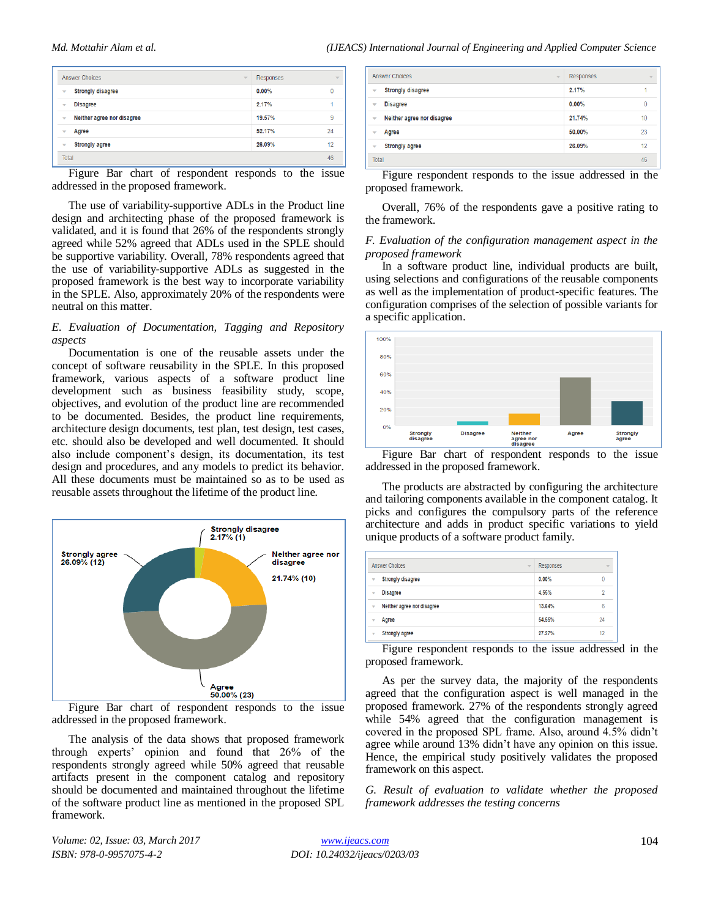| <b>Answer Choices</b>           | <b>Responses</b><br>$\overline{\phantom{a}}$ | $\overline{\phantom{a}}$ |
|---------------------------------|----------------------------------------------|--------------------------|
| <b>Strongly disagree</b><br>v   | 0.00%                                        | $\bf{0}$                 |
| <b>Disagree</b><br>÷            | 2.17%                                        |                          |
| Neither agree nor disagree<br>v | 19.57%                                       | 9                        |
| Agree<br>÷                      | 52.17%                                       | 24                       |
| <b>Strongly agree</b><br>÷      | 26.09%                                       | 12                       |
| <b>Total</b>                    |                                              | 46                       |

Figure Bar chart of respondent responds to the issue addressed in the proposed framework.

The use of variability-supportive ADLs in the Product line design and architecting phase of the proposed framework is validated, and it is found that 26% of the respondents strongly agreed while 52% agreed that ADLs used in the SPLE should be supportive variability. Overall, 78% respondents agreed that the use of variability-supportive ADLs as suggested in the proposed framework is the best way to incorporate variability in the SPLE. Also, approximately 20% of the respondents were neutral on this matter.

#### *E. Evaluation of Documentation, Tagging and Repository aspects*

Documentation is one of the reusable assets under the concept of software reusability in the SPLE. In this proposed framework, various aspects of a software product line development such as business feasibility study, scope, objectives, and evolution of the product line are recommended to be documented. Besides, the product line requirements, architecture design documents, test plan, test design, test cases, etc. should also be developed and well documented. It should also include component's design, its documentation, its test design and procedures, and any models to predict its behavior. All these documents must be maintained so as to be used as reusable assets throughout the lifetime of the product line.



Figure Bar chart of respondent responds to the issue addressed in the proposed framework.

The analysis of the data shows that proposed framework through experts' opinion and found that 26% of the respondents strongly agreed while 50% agreed that reusable artifacts present in the component catalog and repository should be documented and maintained throughout the lifetime of the software product line as mentioned in the proposed SPL framework.

|                         | <b>Answer Choices</b><br>$\overline{\mathbf{v}}$ | Responses | $\overline{\phantom{a}}$ |
|-------------------------|--------------------------------------------------|-----------|--------------------------|
| v                       | <b>Strongly disagree</b>                         | 2.17%     |                          |
| $\overline{\mathbf{v}}$ | <b>Disagree</b>                                  | 0.00%     | 0                        |
| $\overline{\mathbf{v}}$ | Neither agree nor disagree                       | 21.74%    | 10                       |
| v                       | Agree                                            | 50.00%    | 23                       |
| $\overline{\mathbf{v}}$ | <b>Strongly agree</b>                            | 26.09%    | 12                       |
| Total                   |                                                  |           | 46                       |

Figure respondent responds to the issue addressed in the proposed framework.

Overall, 76% of the respondents gave a positive rating to the framework.

#### *F. Evaluation of the configuration management aspect in the proposed framework*

In a software product line, individual products are built, using selections and configurations of the reusable components as well as the implementation of product-specific features. The configuration comprises of the selection of possible variants for a specific application.



addressed in the proposed framework.

The products are abstracted by configuring the architecture and tailoring components available in the component catalog. It picks and configures the compulsory parts of the reference architecture and adds in product specific variations to yield unique products of a software product family.

|   | <b>Answer Choices</b><br>$\overline{\phantom{a}}$ | Responses | $\overline{\mathbf{v}}$ |
|---|---------------------------------------------------|-----------|-------------------------|
| v | <b>Strongly disagree</b>                          | 0.00%     | 0                       |
| v | <b>Disagree</b>                                   | 4.55%     | 9                       |
| v | Neither agree nor disagree                        | 13.64%    | 6                       |
| v | Agree                                             | 54.55%    | 24                      |
| v | <b>Strongly agree</b>                             | 27.27%    | 12                      |

Figure respondent responds to the issue addressed in the proposed framework.

As per the survey data, the majority of the respondents agreed that the configuration aspect is well managed in the proposed framework. 27% of the respondents strongly agreed while 54% agreed that the configuration management is covered in the proposed SPL frame. Also, around 4.5% didn't agree while around 13% didn't have any opinion on this issue. Hence, the empirical study positively validates the proposed framework on this aspect.

*G. Result of evaluation to validate whether the proposed framework addresses the testing concerns*

*Volume: 02, Issue: 03, March 2017 ISBN: 978-0-9957075-4-2*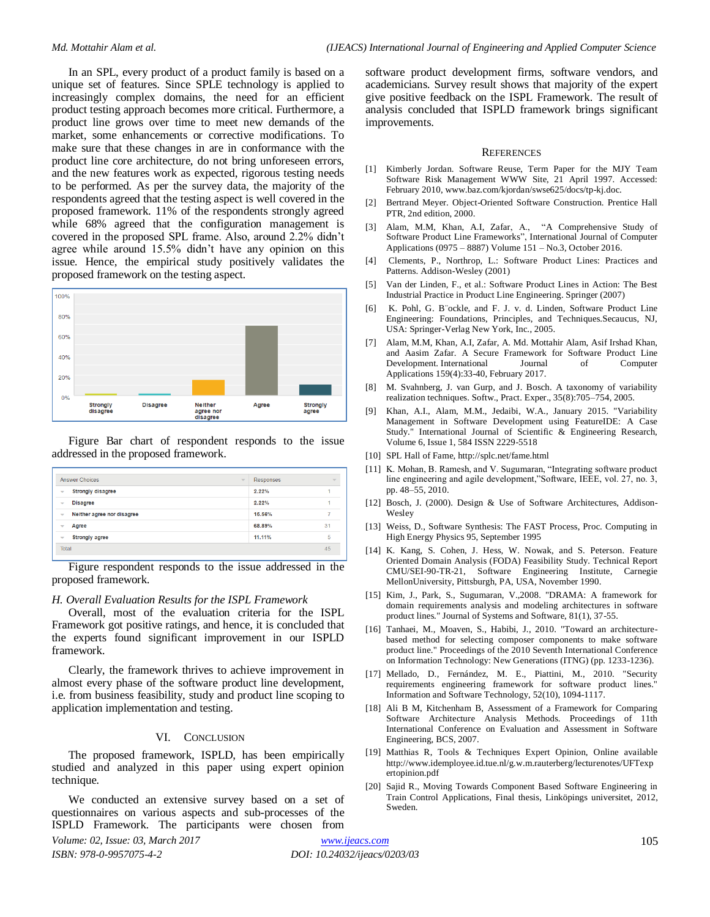In an SPL, every product of a product family is based on a unique set of features. Since SPLE technology is applied to increasingly complex domains, the need for an efficient product testing approach becomes more critical. Furthermore, a product line grows over time to meet new demands of the market, some enhancements or corrective modifications. To make sure that these changes in are in conformance with the product line core architecture, do not bring unforeseen errors, and the new features work as expected, rigorous testing needs to be performed. As per the survey data, the majority of the respondents agreed that the testing aspect is well covered in the proposed framework. 11% of the respondents strongly agreed while 68% agreed that the configuration management is covered in the proposed SPL frame. Also, around 2.2% didn't agree while around 15.5% didn't have any opinion on this issue. Hence, the empirical study positively validates the proposed framework on the testing aspect.



Figure Bar chart of respondent responds to the issue addressed in the proposed framework.

| <b>Answer Choices</b><br>$\overline{\phantom{a}}$      | Responses    |
|--------------------------------------------------------|--------------|
| <b>Strongly disagree</b><br>$\overline{\phantom{a}}$   | 2.22%        |
| <b>Disagree</b><br>$\overline{\mathbf{v}}$             | 2.22%        |
| Neither agree nor disagree<br>$\overline{\phantom{a}}$ | 15.56%       |
| Agree<br>$\overline{\phantom{a}}$                      | 31<br>68.89% |
| <b>Strongly agree</b><br>$\overline{\phantom{a}}$      | 5<br>11.11%  |
| Total                                                  | 45           |
|                                                        |              |

Figure respondent responds to the issue addressed in the proposed framework.

#### *H. Overall Evaluation Results for the ISPL Framework*

Overall, most of the evaluation criteria for the ISPL Framework got positive ratings, and hence, it is concluded that the experts found significant improvement in our ISPLD framework.

Clearly, the framework thrives to achieve improvement in almost every phase of the software product line development, i.e. from business feasibility, study and product line scoping to application implementation and testing.

# VI. CONCLUSION

The proposed framework, ISPLD, has been empirically studied and analyzed in this paper using expert opinion technique.

We conducted an extensive survey based on a set of questionnaires on various aspects and sub-processes of the ISPLD Framework. The participants were chosen from

*Volume: 02, Issue: 03, March 2017 ISBN: 978-0-9957075-4-2*

software product development firms, software vendors, and academicians. Survey result shows that majority of the expert give positive feedback on the ISPL Framework. The result of analysis concluded that ISPLD framework brings significant improvements.

#### **REFERENCES**

- [1] Kimberly Jordan. Software Reuse, Term Paper for the MJY Team Software Risk Management WWW Site, 21 April 1997. Accessed: February 2010[, www.baz.com/kjordan/swse625/docs/tp-kj.doc.](http://www.baz.com/kjordan/swse625/docs/tp-kj.doc)
- [2] Bertrand Meyer. Object-Oriented Software Construction. Prentice Hall PTR, 2nd edition, 2000.
- [3] Alam, M.M, Khan, A.I, Zafar, A., ["A Comprehensive Study of](https://scholar.google.com/citations?view_op=view_citation&hl=en&user=V-Q2G4QAAAAJ&citation_for_view=V-Q2G4QAAAAJ:UeHWp8X0CEIC)  [Software Product Line Frameworks"](https://scholar.google.com/citations?view_op=view_citation&hl=en&user=V-Q2G4QAAAAJ&citation_for_view=V-Q2G4QAAAAJ:UeHWp8X0CEIC), International Journal of Computer Applications (0975 – 8887) Volume 151 – No.3, October 2016.
- [4] Clements, P., Northrop, L.: Software Product Lines: Practices and Patterns. Addison-Wesley (2001)
- [5] Van der Linden, F., et al.: Software Product Lines in Action: The Best Industrial Practice in Product Line Engineering. Springer (2007)
- [6] K. Pohl, G. B¨ockle, and F. J. v. d. Linden, Software Product Line Engineering: Foundations, Principles, and Techniques.Secaucus, NJ, USA: Springer-Verlag New York, Inc., 2005.
- [7] Alam, M.M, Khan, A.I, Zafar, A. Md. Mottahir Alam, Asif Irshad Khan, and Aasim Zafar. A Secure Framework for Software Product Line Development. International Journal of Computer Applications 159(4):33-40, February 2017.
- [8] M. Svahnberg, J. van Gurp, and J. Bosch. A taxonomy of variability realization techniques. Softw., Pract. Exper., 35(8):705–754, 2005.
- [9] Khan, A.I., Alam, M.M., Jedaibi, W.A., January 2015. "Variability Management in Software Development using FeatureIDE: A Case Study." International Journal of Scientific & Engineering Research, Volume 6, Issue 1, 584 ISSN 2229-5518
- [10] SPL Hall of Fame[, http://splc.net/fame.html](http://splc.net/fame.html)
- [11] K. Mohan, B. Ramesh, and V. Sugumaran, "Integrating software product line engineering and agile development,"Software, IEEE, vol. 27, no. 3, pp. 48–55, 2010.
- [12] Bosch, J. (2000). Design & Use of Software Architectures, Addison-Wesley
- [13] Weiss, D., Software Synthesis: The FAST Process, Proc. Computing in High Energy Physics 95, September 1995
- [14] K. Kang, S. Cohen, J. Hess, W. Nowak, and S. Peterson. Feature Oriented Domain Analysis (FODA) Feasibility Study. Technical Report CMU/SEI-90-TR-21, Software Engineering Institute, Carnegie MellonUniversity, Pittsburgh, PA, USA, November 1990.
- [15] Kim, J., Park, S., Sugumaran, V., 2008. "DRAMA: A framework for domain requirements analysis and modeling architectures in software product lines." Journal of Systems and Software, 81(1), 37-55.
- [16] Tanhaei, M., Moaven, S., Habibi, J., 2010. "Toward an architecturebased method for selecting composer components to make software product line." Proceedings of the 2010 Seventh International Conference on Information Technology: New Generations (ITNG) (pp. 1233-1236).
- [17] Mellado, D., Fernández, M. E., Piattini, M., 2010. "Security requirements engineering framework for software product lines." Information and Software Technology, 52(10), 1094-1117.
- [18] Ali B M, Kitchenham B, Assessment of a Framework for Comparing Software Architecture Analysis Methods. Proceedings of 11th International Conference on Evaluation and Assessment in Software Engineering, BCS, 2007.
- [19] Matthias R, Tools & Techniques Expert Opinion, Online available http://www.idemployee.id.tue.nl/g.w.m.rauterberg/lecturenotes/UFTexp ertopinion.pdf
- [20] Sajid R., Moving Towards Component Based Software Engineering in Train Control Applications, Final thesis, Linköpings universitet, 2012, Sweden.